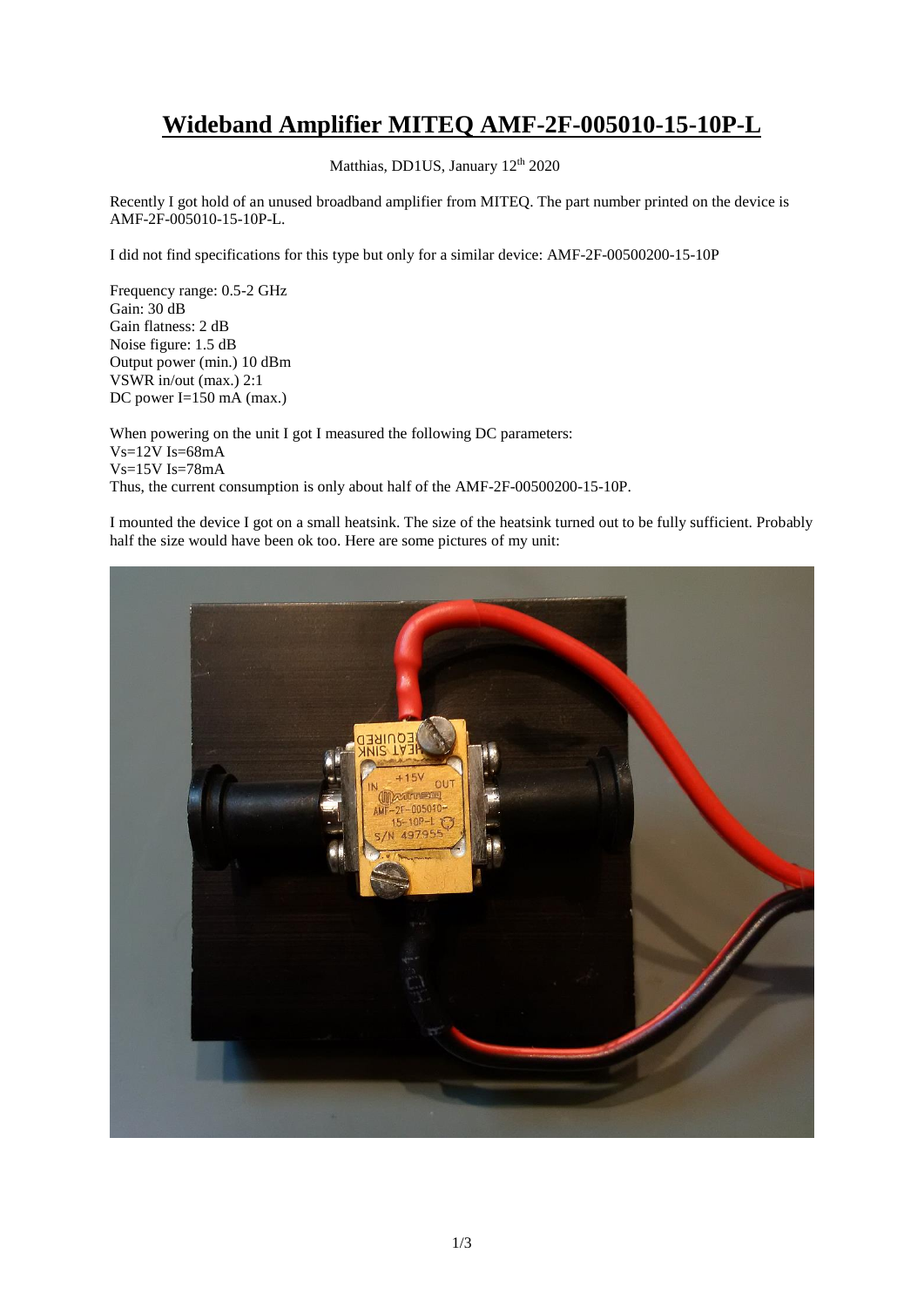## **Wideband Amplifier MITEQ AMF-2F-005010-15-10P-L**

Matthias, DD1US, January 12<sup>th</sup> 2020

Recently I got hold of an unused broadband amplifier from MITEQ. The part number printed on the device is AMF-2F-005010-15-10P-L.

I did not find specifications for this type but only for a similar device: AMF-2F-00500200-15-10P

Frequency range: 0.5-2 GHz Gain: 30 dB Gain flatness: 2 dB Noise figure: 1.5 dB Output power (min.) 10 dBm VSWR in/out (max.) 2:1 DC power I=150 mA (max.)

When powering on the unit I got I measured the following DC parameters:  $Vs=12V$  Is=68mA Vs=15V Is=78mA Thus, the current consumption is only about half of the AMF-2F-00500200-15-10P.

I mounted the device I got on a small heatsink. The size of the heatsink turned out to be fully sufficient. Probably half the size would have been ok too. Here are some pictures of my unit:

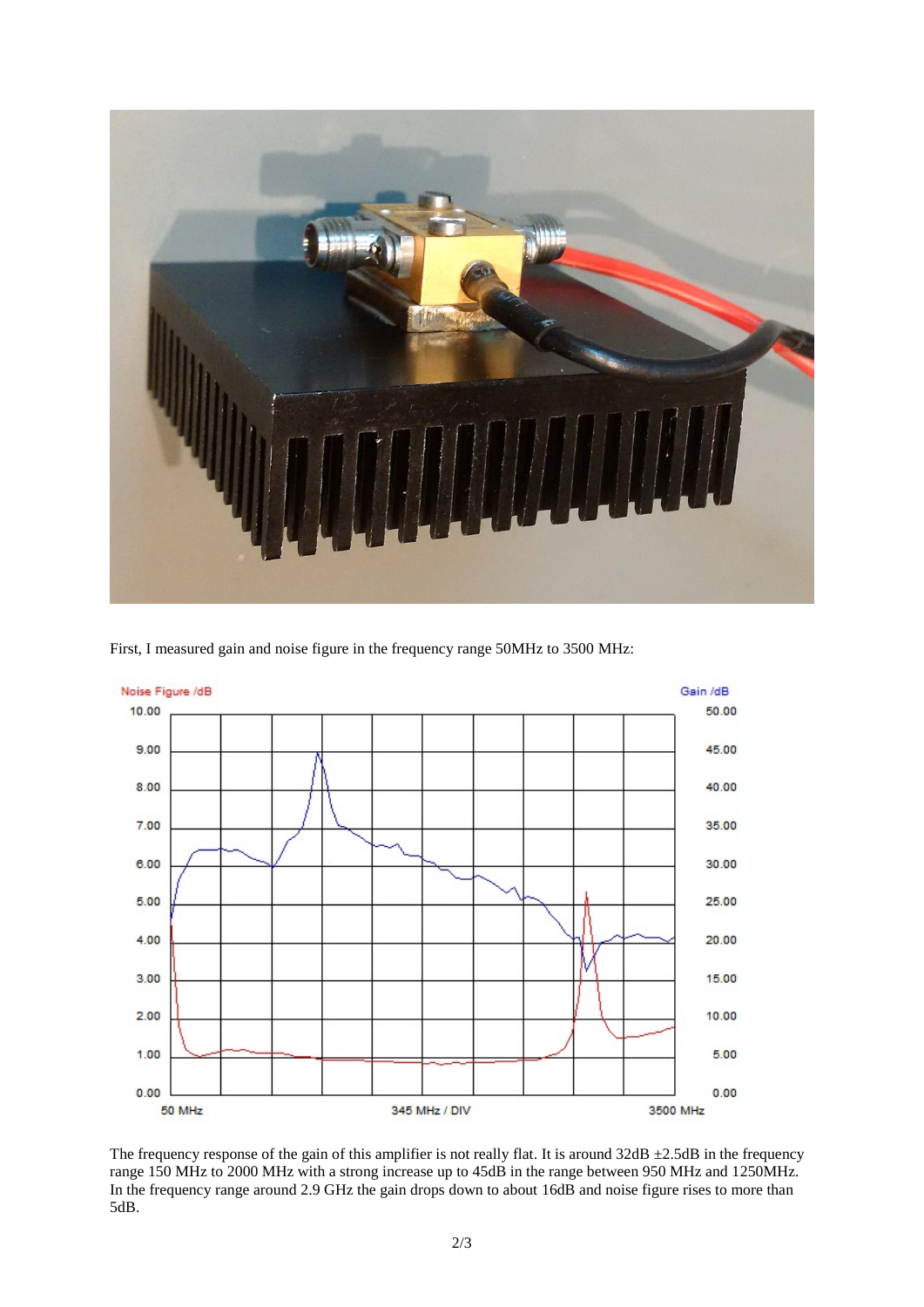

First, I measured gain and noise figure in the frequency range 50MHz to 3500 MHz:



The frequency response of the gain of this amplifier is not really flat. It is around  $32 dB \pm 2.5dB$  in the frequency range 150 MHz to 2000 MHz with a strong increase up to 45dB in the range between 950 MHz and 1250MHz. In the frequency range around 2.9 GHz the gain drops down to about 16dB and noise figure rises to more than 5dB.